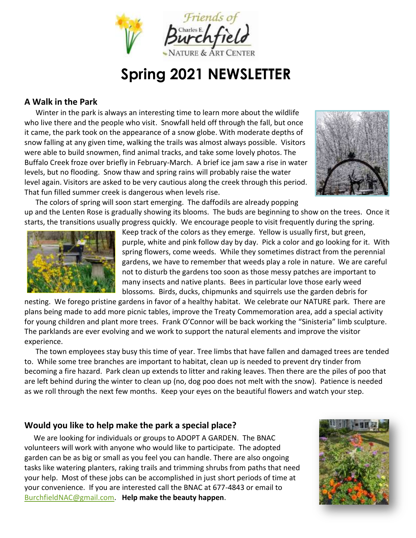

# **Spring 2021 NEWSLETTER**

#### **A Walk in the Park**

 Winter in the park is always an interesting time to learn more about the wildlife who live there and the people who visit. Snowfall held off through the fall, but once it came, the park took on the appearance of a snow globe. With moderate depths of snow falling at any given time, walking the trails was almost always possible. Visitors were able to build snowmen, find animal tracks, and take some lovely photos. The Buffalo Creek froze over briefly in February-March. A brief ice jam saw a rise in water levels, but no flooding. Snow thaw and spring rains will probably raise the water level again. Visitors are asked to be very cautious along the creek through this period. That fun filled summer creek is dangerous when levels rise.



 The colors of spring will soon start emerging. The daffodils are already popping up and the Lenten Rose is gradually showing its blooms. The buds are beginning to show on the trees. Once it starts, the transitions usually progress quickly. We encourage people to visit frequently during the spring.



Keep track of the colors as they emerge. Yellow is usually first, but green, purple, white and pink follow day by day. Pick a color and go looking for it. With spring flowers, come weeds. While they sometimes distract from the perennial gardens, we have to remember that weeds play a role in nature. We are careful not to disturb the gardens too soon as those messy patches are important to many insects and native plants. Bees in particular love those early weed blossoms. Birds, ducks, chipmunks and squirrels use the garden debris for

nesting. We forego pristine gardens in favor of a healthy habitat. We celebrate our NATURE park. There are plans being made to add more picnic tables, improve the Treaty Commemoration area, add a special activity for young children and plant more trees. Frank O'Connor will be back working the "Sinisteria" limb sculpture. The parklands are ever evolving and we work to support the natural elements and improve the visitor experience.

 The town employees stay busy this time of year. Tree limbs that have fallen and damaged trees are tended to. While some tree branches are important to habitat, clean up is needed to prevent dry tinder from becoming a fire hazard. Park clean up extends to litter and raking leaves. Then there are the piles of poo that are left behind during the winter to clean up (no, dog poo does not melt with the snow). Patience is needed as we roll through the next few months. Keep your eyes on the beautiful flowers and watch your step.

#### **Would you like to help make the park a special place?**

 We are looking for individuals or groups to ADOPT A GARDEN. The BNAC volunteers will work with anyone who would like to participate. The adopted garden can be as big or small as you feel you can handle. There are also ongoing tasks like watering planters, raking trails and trimming shrubs from paths that need your help. Most of these jobs can be accomplished in just short periods of time at your convenience. If you are interested call the BNAC at 677-4843 or email to [BurchfieldNAC@gmail.com.](mailto:BurchfieldNAC@gmail.com) **Help make the beauty happen**.

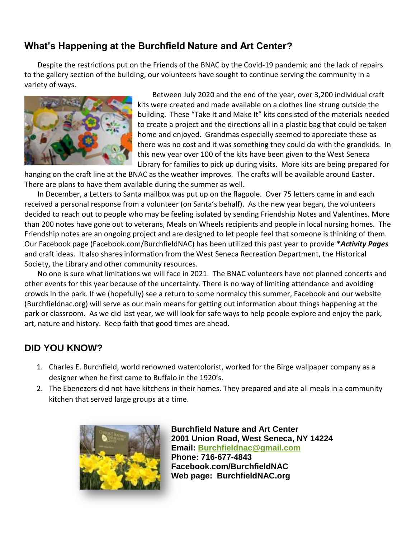## **What's Happening at the Burchfield Nature and Art Center?**

 Despite the restrictions put on the Friends of the BNAC by the Covid-19 pandemic and the lack of repairs to the gallery section of the building, our volunteers have sought to continue serving the community in a variety of ways.



 Between July 2020 and the end of the year, over 3,200 individual craft kits were created and made available on a clothes line strung outside the building. These "Take It and Make It" kits consisted of the materials needed to create a project and the directions all in a plastic bag that could be taken home and enjoyed. Grandmas especially seemed to appreciate these as there was no cost and it was something they could do with the grandkids. In this new year over 100 of the kits have been given to the West Seneca Library for families to pick up during visits. More kits are being prepared for

hanging on the craft line at the BNAC as the weather improves. The crafts will be available around Easter. There are plans to have them available during the summer as well.

 In December, a Letters to Santa mailbox was put up on the flagpole. Over 75 letters came in and each received a personal response from a volunteer (on Santa's behalf). As the new year began, the volunteers decided to reach out to people who may be feeling isolated by sending Friendship Notes and Valentines. More than 200 notes have gone out to veterans, Meals on Wheels recipients and people in local nursing homes. The Friendship notes are an ongoing project and are designed to let people feel that someone is thinking of them. Our Facebook page (Facebook.com/BurchfieldNAC) has been utilized this past year to provide \**Activity Pages* and craft ideas. It also shares information from the West Seneca Recreation Department, the Historical Society, the Library and other community resources.

 No one is sure what limitations we will face in 2021. The BNAC volunteers have not planned concerts and other events for this year because of the uncertainty. There is no way of limiting attendance and avoiding crowds in the park. If we (hopefully) see a return to some normalcy this summer, Facebook and our website (Burchfieldnac.org) will serve as our main means for getting out information about things happening at the park or classroom. As we did last year, we will look for safe ways to help people explore and enjoy the park, art, nature and history. Keep faith that good times are ahead.

### **DID YOU KNOW?**

- 1. Charles E. Burchfield, world renowned watercolorist, worked for the Birge wallpaper company as a designer when he first came to Buffalo in the 1920's.
- 2. The Ebenezers did not have kitchens in their homes. They prepared and ate all meals in a community kitchen that served large groups at a time.



**Burchfield Nature and Art Center 2001 Union Road, West Seneca, NY 14224 Email: [Burchfieldnac@gmail.com](mailto:Burchfieldnac@gmail.com)  Phone: 716-677-4843 Facebook.com/BurchfieldNAC Web page: BurchfieldNAC.org**